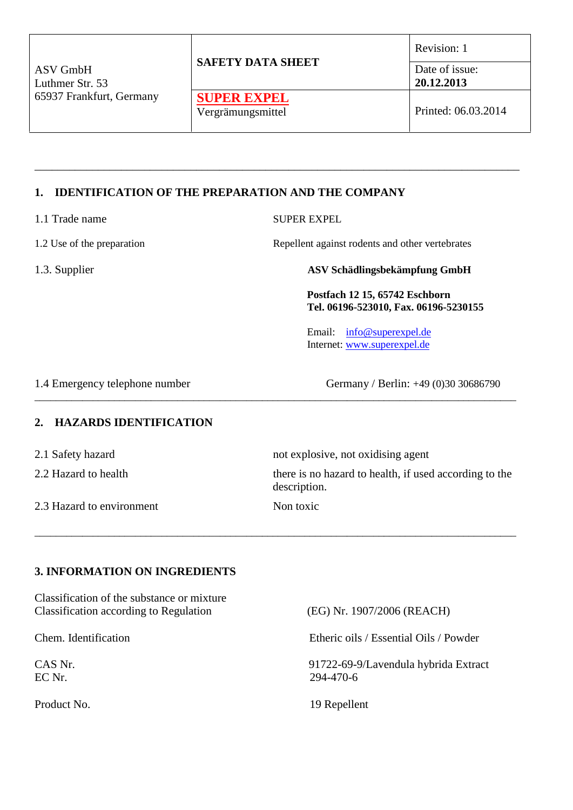| ASV GmbH<br>Luthmer Str. 53 | <b>SAFETY DATA SHEET</b> | Revision: 1<br>Date of issue:<br>20.12.2013 |  |
|-----------------------------|--------------------------|---------------------------------------------|--|
| 65937 Frankfurt, Germany    | <b>SUPER EXPEL</b>       |                                             |  |
|                             | Vergrämungsmittel        | Printed: 06.03.2014                         |  |

\_\_\_\_\_\_\_\_\_\_\_\_\_\_\_\_\_\_\_\_\_\_\_\_\_\_\_\_\_\_\_\_\_\_\_\_\_\_\_\_\_\_\_\_\_\_\_\_\_\_\_\_\_\_\_\_\_\_\_\_\_\_\_\_\_\_\_\_\_\_\_\_\_\_\_\_\_\_\_\_\_\_\_\_

# **1. IDENTIFICATION OF THE PREPARATION AND THE COMPANY**

| 1.1 Trade name             | <b>SUPER EXPEL</b>                                                      |  |
|----------------------------|-------------------------------------------------------------------------|--|
| 1.2 Use of the preparation | Repellent against rodents and other vertebrates                         |  |
| 1.3. Supplier              | ASV Schädlingsbekämpfung GmbH                                           |  |
|                            | Postfach 12 15, 65742 Eschborn<br>Tel. 06196-523010, Fax. 06196-5230155 |  |
|                            | Email: info@superexpel.de<br>Internet: www.superexpel.de                |  |
|                            |                                                                         |  |

1.4 Emergency telephone number Germany / Berlin: +49 (0)30 30686790

#### **2. HAZARDS IDENTIFICATION**

| 2.1 Safety hazard         | not explosive, not oxidising agent                                     |
|---------------------------|------------------------------------------------------------------------|
| 2.2 Hazard to health      | there is no hazard to health, if used according to the<br>description. |
| 2.3 Hazard to environment | Non toxic                                                              |

\_\_\_\_\_\_\_\_\_\_\_\_\_\_\_\_\_\_\_\_\_\_\_\_\_\_\_\_\_\_\_\_\_\_\_\_\_\_\_\_\_\_\_\_\_\_\_\_\_\_\_\_\_\_\_\_\_\_\_\_\_\_\_\_\_\_\_\_\_\_\_\_\_\_\_\_\_\_\_\_\_\_\_\_\_\_\_\_\_\_\_

\_\_\_\_\_\_\_\_\_\_\_\_\_\_\_\_\_\_\_\_\_\_\_\_\_\_\_\_\_\_\_\_\_\_\_\_\_\_\_\_\_\_\_\_\_\_\_\_\_\_\_\_\_\_\_\_\_\_\_\_\_\_\_\_\_\_\_\_\_\_\_\_\_\_\_\_\_\_\_\_\_\_\_\_\_\_\_\_\_\_\_

### **3. INFORMATION ON INGREDIENTS**

Classification of the substance or mixture Classification according to Regulation (EG) Nr. 1907/2006 (REACH)

Chem. Identification Etheric oils / Essential Oils / Powder

CAS Nr.<br>
291722-69-9/Lavendula hybrida Extract<br>
294-470-6 EC Nr. 294-470-6

Product No. 19 Repellent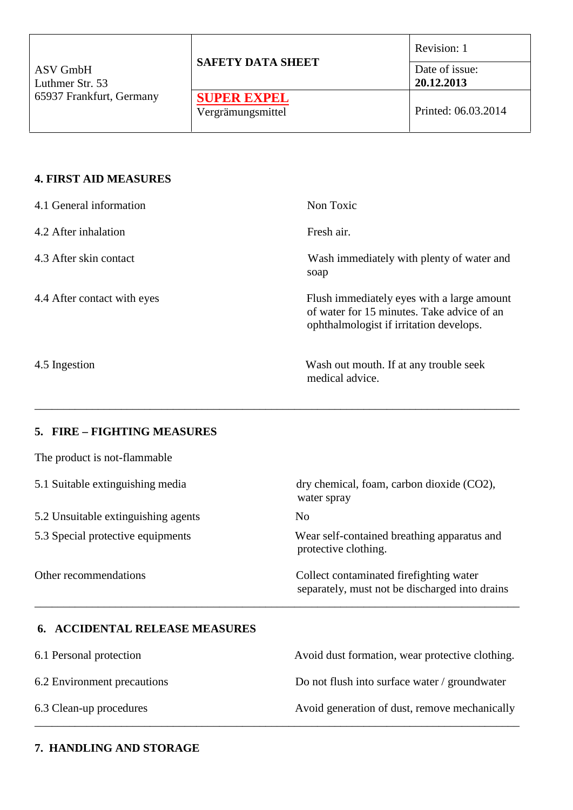| ASV GmbH<br>Luthmer Str. 53<br>65937 Frankfurt, Germany |                                         | Revision: 1                  |  |
|---------------------------------------------------------|-----------------------------------------|------------------------------|--|
|                                                         | <b>SAFETY DATA SHEET</b>                | Date of issue:<br>20.12.2013 |  |
|                                                         | <b>SUPER EXPEL</b><br>Vergrämungsmittel | Printed: 06.03.2014          |  |

### **4. FIRST AID MEASURES**

| 4.1 General information     | Non Toxic                                                                                                                           |
|-----------------------------|-------------------------------------------------------------------------------------------------------------------------------------|
| 4.2 After inhalation        | Fresh air.                                                                                                                          |
| 4.3 After skin contact      | Wash immediately with plenty of water and<br>soap                                                                                   |
| 4.4 After contact with eyes | Flush immediately eyes with a large amount<br>of water for 15 minutes. Take advice of an<br>ophthalmologist if irritation develops. |
| 4.5 Ingestion               | Wash out mouth. If at any trouble seek<br>medical advice.                                                                           |

\_\_\_\_\_\_\_\_\_\_\_\_\_\_\_\_\_\_\_\_\_\_\_\_\_\_\_\_\_\_\_\_\_\_\_\_\_\_\_\_\_\_\_\_\_\_\_\_\_\_\_\_\_\_\_\_\_\_\_\_\_\_\_\_\_\_\_\_\_\_\_\_\_\_\_\_\_\_\_\_\_\_\_\_

### **5. FIRE – FIGHTING MEASURES**

The product is not-flammable

| dry chemical, foam, carbon dioxide (CO2),<br>water spray                                   |
|--------------------------------------------------------------------------------------------|
| No.                                                                                        |
| Wear self-contained breathing apparatus and<br>protective clothing.                        |
| Collect contaminated fire fighting water<br>separately, must not be discharged into drains |
|                                                                                            |

# **6. ACCIDENTAL RELEASE MEASURES**

| 6.1 Personal protection     | Avoid dust formation, wear protective clothing. |
|-----------------------------|-------------------------------------------------|
| 6.2 Environment precautions | Do not flush into surface water / groundwater   |
| 6.3 Clean-up procedures     | Avoid generation of dust, remove mechanically   |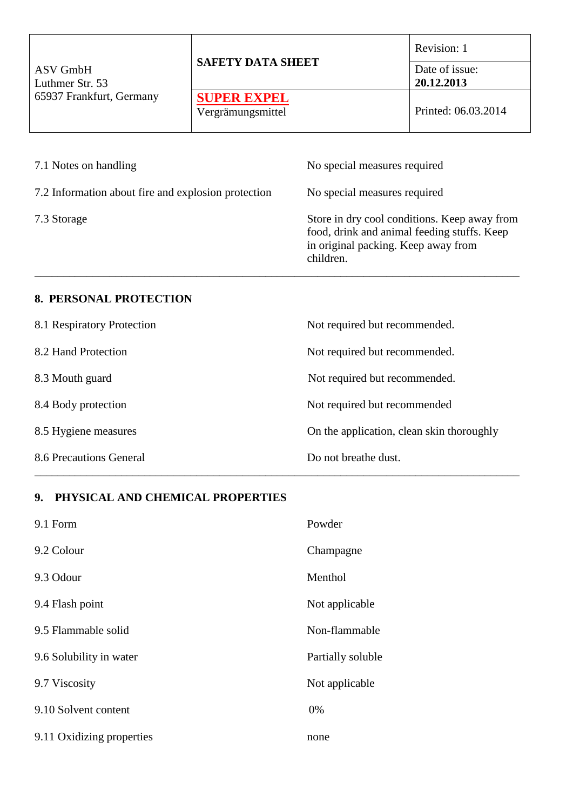| ASV GmbH<br>Luthmer Str. 53<br>65937 Frankfurt, Germany | <b>SAFETY DATA SHEET</b>                | Revision: 1<br>Date of issue:<br>20.12.2013 |
|---------------------------------------------------------|-----------------------------------------|---------------------------------------------|
|                                                         | <b>SUPER EXPEL</b><br>Vergrämungsmittel | Printed: 06.03.2014                         |
|                                                         |                                         |                                             |

 $\overline{\phantom{a}}$ 

| 7.1 Notes on handling                               | No special measures required                                                                                                                    |
|-----------------------------------------------------|-------------------------------------------------------------------------------------------------------------------------------------------------|
| 7.2 Information about fire and explosion protection | No special measures required                                                                                                                    |
| 7.3 Storage                                         | Store in dry cool conditions. Keep away from<br>food, drink and animal feeding stuffs. Keep<br>in original packing. Keep away from<br>children. |

# **8. PERSONAL PROTECTION**

| 8.1 Respiratory Protection | Not required but recommended.             |
|----------------------------|-------------------------------------------|
| 8.2 Hand Protection        | Not required but recommended.             |
| 8.3 Mouth guard            | Not required but recommended.             |
| 8.4 Body protection        | Not required but recommended              |
| 8.5 Hygiene measures       | On the application, clean skin thoroughly |
| 8.6 Precautions General    | Do not breathe dust.                      |

# **9. PHYSICAL AND CHEMICAL PROPERTIES**

| 9.1 Form                  | Powder            |
|---------------------------|-------------------|
| 9.2 Colour                | Champagne         |
| 9.3 Odour                 | Menthol           |
| 9.4 Flash point           | Not applicable    |
| 9.5 Flammable solid       | Non-flammable     |
| 9.6 Solubility in water   | Partially soluble |
| 9.7 Viscosity             | Not applicable    |
| 9.10 Solvent content      | $0\%$             |
| 9.11 Oxidizing properties | none              |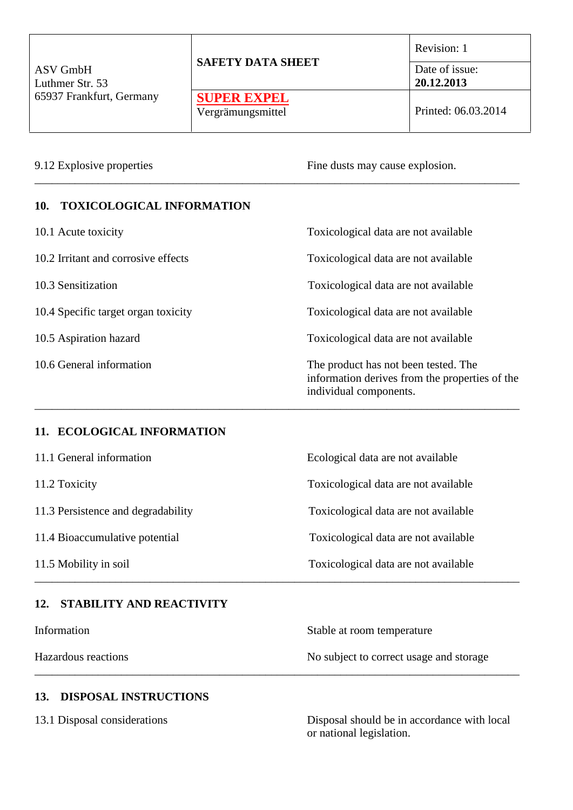| ASV GmbH<br>Luthmer Str. 53 | <b>SAFETY DATA SHEET</b> | Revision: 1<br>Date of issue:<br>20.12.2013 |  |
|-----------------------------|--------------------------|---------------------------------------------|--|
| 65937 Frankfurt, Germany    | <b>SUPER EXPEL</b>       |                                             |  |
|                             | Vergrämungsmittel        | Printed: 06.03.2014                         |  |

\_\_\_\_\_\_\_\_\_\_\_\_\_\_\_\_\_\_\_\_\_\_\_\_\_\_\_\_\_\_\_\_\_\_\_\_\_\_\_\_\_\_\_\_\_\_\_\_\_\_\_\_\_\_\_\_\_\_\_\_\_\_\_\_\_\_\_\_\_\_\_\_\_\_\_\_\_\_\_\_\_\_\_\_

9.12 Explosive properties Fine dusts may cause explosion.

### **10. TOXICOLOGICAL INFORMATION**

10.1 Acute toxicity Toxicological data are not available 10.2 Irritant and corrosive effects Toxicological data are not available 10.3 Sensitization Toxicological data are not available 10.4 Specific target organ toxicity Toxicological data are not available 10.5 Aspiration hazard Toxicological data are not available 10.6 General information The product has not been tested. The information derives from the properties of the individual components.

\_\_\_\_\_\_\_\_\_\_\_\_\_\_\_\_\_\_\_\_\_\_\_\_\_\_\_\_\_\_\_\_\_\_\_\_\_\_\_\_\_\_\_\_\_\_\_\_\_\_\_\_\_\_\_\_\_\_\_\_\_\_\_\_\_\_\_\_\_\_\_\_\_\_\_\_\_\_\_\_\_\_\_\_

### **11. ECOLOGICAL INFORMATION**

| 11.1 General information           | Ecological data are not available    |  |
|------------------------------------|--------------------------------------|--|
| 11.2 Toxicity                      | Toxicological data are not available |  |
| 11.3 Persistence and degradability | Toxicological data are not available |  |
| 11.4 Bioaccumulative potential     | Toxicological data are not available |  |
| 11.5 Mobility in soil              | Toxicological data are not available |  |
|                                    |                                      |  |

# **12. STABILITY AND REACTIVITY**

| Information | Stable at room temperature |  |
|-------------|----------------------------|--|
|             |                            |  |

Hazardous reactions No subject to correct usage and storage \_\_\_\_\_\_\_\_\_\_\_\_\_\_\_\_\_\_\_\_\_\_\_\_\_\_\_\_\_\_\_\_\_\_\_\_\_\_\_\_\_\_\_\_\_\_\_\_\_\_\_\_\_\_\_\_\_\_\_\_\_\_\_\_\_\_\_\_\_\_\_\_\_\_\_\_\_\_\_\_\_\_\_\_

### **13. DISPOSAL INSTRUCTIONS**

13.1 Disposal considerations Disposal should be in accordance with local or national legislation.